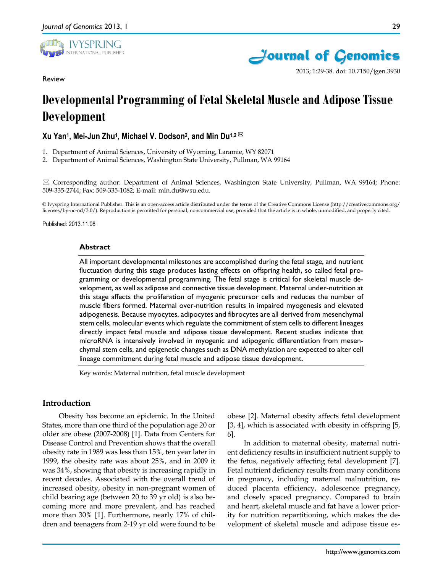

Review



2013; 1:29-38. doi: 10.7150/jgen.3930

# **Developmental Programming of Fetal Skeletal Muscle and Adipose Tissue Development**

# **Xu Yan1, Mei-Jun Zhu1, Michael V. Dodson2, and Min Du1,2**

- 1. Department of Animal Sciences, University of Wyoming, Laramie, WY 82071
- 2. Department of Animal Sciences, Washington State University, Pullman, WA 99164

 $\boxtimes$  Corresponding author: Department of Animal Sciences, Washington State University, Pullman, WA 99164; Phone: 509-335-2744; Fax: 509-335-1082; E-mail: min.du@wsu.edu.

© Ivyspring International Publisher. This is an open-access article distributed under the terms of the Creative Commons License (http://creativecommons.org/ licenses/by-nc-nd/3.0/). Reproduction is permitted for personal, noncommercial use, provided that the article is in whole, unmodified, and properly cited.

Published: 2013.11.08

#### **Abstract**

All important developmental milestones are accomplished during the fetal stage, and nutrient fluctuation during this stage produces lasting effects on offspring health, so called fetal programming or developmental programming. The fetal stage is critical for skeletal muscle development, as well as adipose and connective tissue development. Maternal under-nutrition at this stage affects the proliferation of myogenic precursor cells and reduces the number of muscle fibers formed. Maternal over-nutrition results in impaired myogenesis and elevated adipogenesis. Because myocytes, adipocytes and fibrocytes are all derived from mesenchymal stem cells, molecular events which regulate the commitment of stem cells to different lineages directly impact fetal muscle and adipose tissue development. Recent studies indicate that microRNA is intensively involved in myogenic and adipogenic differentiation from mesenchymal stem cells, and epigenetic changes such as DNA methylation are expected to alter cell lineage commitment during fetal muscle and adipose tissue development.

Key words: Maternal nutrition, fetal muscle development

### **Introduction**

Obesity has become an epidemic. In the United States, more than one third of the population age 20 or older are obese (2007-2008) [1]. Data from Centers for Disease Control and Prevention shows that the overall obesity rate in 1989 was less than 15%, ten year later in 1999, the obesity rate was about 25%, and in 2009 it was 34%, showing that obesity is increasing rapidly in recent decades. Associated with the overall trend of increased obesity, obesity in non-pregnant women of child bearing age (between 20 to 39 yr old) is also becoming more and more prevalent, and has reached more than 30% [1]. Furthermore, nearly 17% of children and teenagers from 2-19 yr old were found to be

obese [2]. Maternal obesity affects fetal development [3, 4], which is associated with obesity in offspring [5, 6].

In addition to maternal obesity, maternal nutrient deficiency results in insufficient nutrient supply to the fetus, negatively affecting fetal development [7]. Fetal nutrient deficiency results from many conditions in pregnancy, including maternal malnutrition, reduced placenta efficiency, adolescence pregnancy, and closely spaced pregnancy. Compared to brain and heart, skeletal muscle and fat have a lower priority for nutrition repartitioning, which makes the development of skeletal muscle and adipose tissue es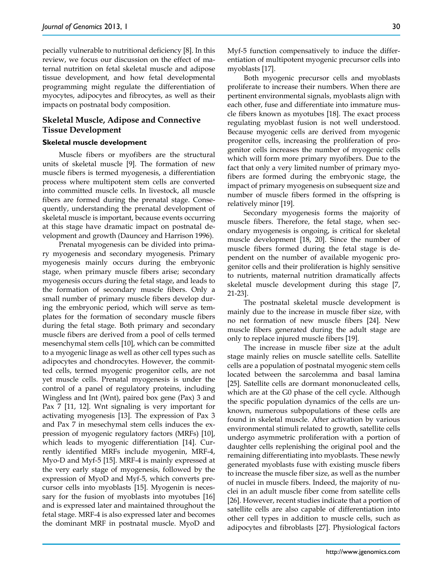pecially vulnerable to nutritional deficiency [8]. In this review, we focus our discussion on the effect of maternal nutrition on fetal skeletal muscle and adipose tissue development, and how fetal developmental programming might regulate the differentiation of myocytes, adipocytes and fibrocytes, as well as their impacts on postnatal body composition.

# **Skeletal Muscle, Adipose and Connective Tissue Development**

#### **Skeletal muscle development**

Muscle fibers or myofibers are the structural units of skeletal muscle [9]. The formation of new muscle fibers is termed myogenesis, a differentiation process where multipotent stem cells are converted into committed muscle cells. In livestock, all muscle fibers are formed during the prenatal stage. Consequently, understanding the prenatal development of skeletal muscle is important, because events occurring at this stage have dramatic impact on postnatal development and growth (Dauncey and Harrison 1996).

Prenatal myogenesis can be divided into primary myogenesis and secondary myogenesis. Primary myogenesis mainly occurs during the embryonic stage, when primary muscle fibers arise; secondary myogenesis occurs during the fetal stage, and leads to the formation of secondary muscle fibers. Only a small number of primary muscle fibers develop during the embryonic period, which will serve as templates for the formation of secondary muscle fibers during the fetal stage. Both primary and secondary muscle fibers are derived from a pool of cells termed mesenchymal stem cells [10], which can be committed to a myogenic linage as well as other cell types such as adipocytes and chondrocytes. However, the committed cells, termed myogenic progenitor cells, are not yet muscle cells. Prenatal myogenesis is under the control of a panel of regulatory proteins, including Wingless and Int (Wnt), paired box gene (Pax) 3 and Pax 7 [11, 12]. Wnt signaling is very important for activating myogenesis [13]. The expression of Pax 3 and Pax 7 in mesechymal stem cells induces the expression of myogenic regulatory factors (MRFs) [10], which leads to myogenic differentiation [14]. Currently identified MRFs include myogenin, MRF-4, Myo-D and Myf-5 [15]. MRF-4 is mainly expressed at the very early stage of myogenesis, followed by the expression of MyoD and Myf-5, which converts precursor cells into myoblasts [15]. Myogenin is necessary for the fusion of myoblasts into myotubes [16] and is expressed later and maintained throughout the fetal stage. MRF-4 is also expressed later and becomes the dominant MRF in postnatal muscle. MyoD and

Myf-5 function compensatively to induce the differentiation of multipotent myogenic precursor cells into myoblasts [17].

Both myogenic precursor cells and myoblasts proliferate to increase their numbers. When there are pertinent environmental signals, myoblasts align with each other, fuse and differentiate into immature muscle fibers known as myotubes [18]. The exact process regulating myoblast fusion is not well understood. Because myogenic cells are derived from myogenic progenitor cells, increasing the proliferation of progenitor cells increases the number of myogenic cells which will form more primary myofibers. Due to the fact that only a very limited number of primary myofibers are formed during the embryonic stage, the impact of primary myogenesis on subsequent size and number of muscle fibers formed in the offspring is relatively minor [19].

Secondary myogenesis forms the majority of muscle fibers. Therefore, the fetal stage, when secondary myogenesis is ongoing, is critical for skeletal muscle development [18, 20]. Since the number of muscle fibers formed during the fetal stage is dependent on the number of available myogenic progenitor cells and their proliferation is highly sensitive to nutrients, maternal nutrition dramatically affects skeletal muscle development during this stage [7, 21-23].

The postnatal skeletal muscle development is mainly due to the increase in muscle fiber size, with no net formation of new muscle fibers [24]. New muscle fibers generated during the adult stage are only to replace injured muscle fibers [19].

The increase in muscle fiber size at the adult stage mainly relies on muscle satellite cells. Satellite cells are a population of postnatal myogenic stem cells located between the sarcolemma and basal lamina [25]. Satellite cells are dormant mononucleated cells, which are at the G0 phase of the cell cycle. Although the specific population dynamics of the cells are unknown, numerous subpopulations of these cells are found in skeletal muscle. After activation by various environmental stimuli related to growth, satellite cells undergo asymmetric proliferation with a portion of daughter cells replenishing the original pool and the remaining differentiating into myoblasts. These newly generated myoblasts fuse with existing muscle fibers to increase the muscle fiber size, as well as the number of nuclei in muscle fibers. Indeed, the majority of nuclei in an adult muscle fiber come from satellite cells [26]. However, recent studies indicate that a portion of satellite cells are also capable of differentiation into other cell types in addition to muscle cells, such as adipocytes and fibroblasts [27]. Physiological factors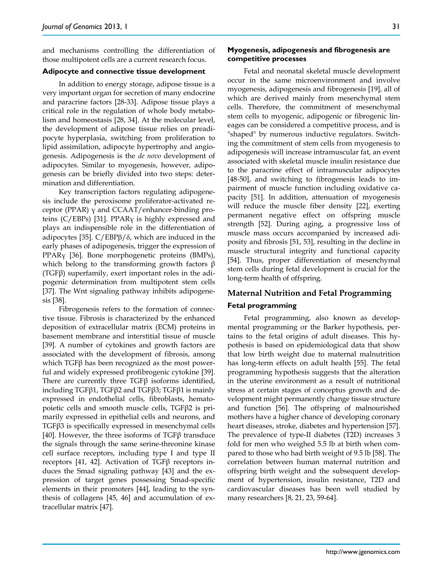and mechanisms controlling the differentiation of those multipotent cells are a current research focus.

#### **Adipocyte and connective tissue development**

In addition to energy storage, adipose tissue is a very important organ for secretion of many endocrine and paracrine factors [28-33]. Adipose tissue plays a critical role in the regulation of whole body metabolism and homeostasis [28, 34]. At the molecular level, the development of adipose tissue relies on preadipocyte hyperplasia, switching from proliferation to lipid assimilation, adipocyte hypertrophy and angiogenesis. Adipogenesis is the *de novo* development of adipocytes. Similar to myogenesis, however, adipogenesis can be briefly divided into two steps: determination and differentiation.

Key transcription factors regulating adipogenesis include the peroxisome proliferator-activated receptor (PPAR) γ and CCAAT/enhancer-binding proteins (C/EBPs) [31]. PPARγ is highly expressed and plays an indispensible role in the differentiation of adipocytes [35]. C/EBPβ/δ, which are induced in the early phases of adipogenesis, trigger the expression of PPARγ [36]. Bone morphogenetic proteins (BMPs), which belong to the transforming growth factors  $β$ (TGFβ) superfamily, exert important roles in the adipogenic determination from multipotent stem cells [37]. The Wnt signaling pathway inhibits adipogenesis [38].

Fibrogenesis refers to the formation of connective tissue. Fibrosis is characterized by the enhanced deposition of extracellular matrix (ECM) proteins in basement membrane and interstitial tissue of muscle [39]. A number of cytokines and growth factors are associated with the development of fibrosis, among which  $TGF\beta$  has been recognized as the most powerful and widely expressed profibrogenic cytokine [39]. There are currently three  $TGF\beta$  isoforms identified, including TGFβ1, TGFβ2 and TGFβ3; TGFβ1 is mainly expressed in endothelial cells, fibroblasts, hematopoietic cells and smooth muscle cells, TGF $β2$  is primarily expressed in epithelial cells and neurons, and TGFβ3 is specifically expressed in mesenchymal cells [40]. However, the three isoforms of  $TGF\beta$  transduce the signals through the same serine-threonine kinase cell surface receptors, including type I and type II receptors [41, 42]. Activation of TGFβ receptors induces the Smad signaling pathway [43] and the expression of target genes possessing Smad-specific elements in their promoters [44], leading to the synthesis of collagens [45, 46] and accumulation of extracellular matrix [47].

## **Myogenesis, adipogenesis and fibrogenesis are competitive processes**

Fetal and neonatal skeletal muscle development occur in the same microenvironment and involve myogenesis, adipogenesis and fibrogenesis [19], all of which are derived mainly from mesenchymal stem cells. Therefore, the commitment of mesenchymal stem cells to myogenic, adipogenic or fibrogenic lineages can be considered a competitive process, and is "shaped" by numerous inductive regulators. Switching the commitment of stem cells from myogenesis to adipogenesis will increase intramuscular fat, an event associated with skeletal muscle insulin resistance due to the paracrine effect of intramuscular adipocytes [48-50], and switching to fibrogenesis leads to impairment of muscle function including oxidative capacity [51]. In addition, attenuation of myogenesis will reduce the muscle fiber density [22], exerting permanent negative effect on offspring muscle strength [52]. During aging, a progressive loss of muscle mass occurs accompanied by increased adiposity and fibrosis [51, 53], resulting in the decline in muscle structural integrity and functional capacity [54]. Thus, proper differentiation of mesenchymal stem cells during fetal development is crucial for the long-term health of offspring.

# **Maternal Nutrition and Fetal Programming**

### **Fetal programming**

Fetal programming, also known as developmental programming or the Barker hypothesis, pertains to the fetal origins of adult diseases. This hypothesis is based on epidemiological data that show that low birth weight due to maternal malnutrition has long-term effects on adult health [55]. The fetal programming hypothesis suggests that the alteration in the uterine environment as a result of nutritional stress at certain stages of conceptus growth and development might permanently change tissue structure and function [56]. The offspring of malnourished mothers have a higher chance of developing coronary heart diseases, stroke, diabetes and hypertension [57]. The prevalence of type-II diabetes (T2D) increases 3 fold for men who weighed 5.5 lb at birth when compared to those who had birth weight of 9.5 lb [58]. The correlation between human maternal nutrition and offspring birth weight and the subsequent development of hypertension, insulin resistance, T2D and cardiovascular diseases has been well studied by many researchers [8, 21, 23, 59-64].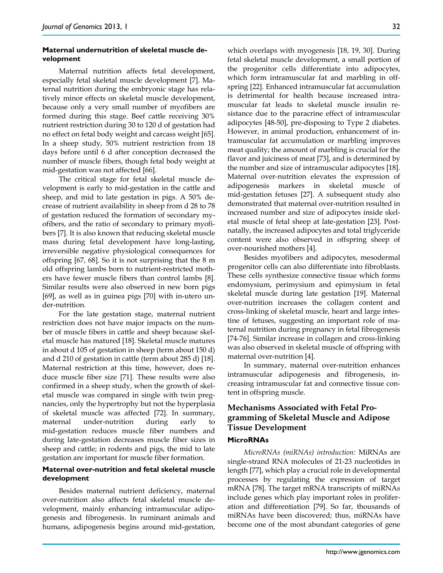#### **Maternal undernutrition of skeletal muscle development**

Maternal nutrition affects fetal development, especially fetal skeletal muscle development [7]. Maternal nutrition during the embryonic stage has relatively minor effects on skeletal muscle development, because only a very small number of myofibers are formed during this stage. Beef cattle receiving 30% nutrient restriction during 30 to 120 d of gestation had no effect on fetal body weight and carcass weight [65]. In a sheep study, 50% nutrient restriction from 18 days before until 6 d after conception decreased the number of muscle fibers, though fetal body weight at mid-gestation was not affected [66].

The critical stage for fetal skeletal muscle development is early to mid-gestation in the cattle and sheep, and mid to late gestation in pigs. A 50% decrease of nutrient availability in sheep from d 28 to 78 of gestation reduced the formation of secondary myofibers, and the ratio of secondary to primary myofibers [7]. It is also known that reducing skeletal muscle mass during fetal development have long-lasting, irreversible negative physiological consequences for offspring [67, 68]. So it is not surprising that the 8 m old offspring lambs born to nutrient-restricted mothers have fewer muscle fibers than control lambs [8]. Similar results were also observed in new born pigs [69], as well as in guinea pigs [70] with in-utero under-nutrition.

For the late gestation stage, maternal nutrient restriction does not have major impacts on the number of muscle fibers in cattle and sheep because skeletal muscle has matured [18]. Skeletal muscle matures in about d 105 of gestation in sheep (term about 150 d) and d 210 of gestation in cattle (term about 285 d) [18]. Maternal restriction at this time, however, does reduce muscle fiber size [71]. These results were also confirmed in a sheep study, when the growth of skeletal muscle was compared in single with twin pregnancies, only the hypertrophy but not the hyperplasia of skeletal muscle was affected [72]. In summary, maternal under-nutrition during early to mid-gestation reduces muscle fiber numbers and during late-gestation decreases muscle fiber sizes in sheep and cattle; in rodents and pigs, the mid to late gestation are important for muscle fiber formation.

## **Maternal over-nutrition and fetal skeletal muscle development**

Besides maternal nutrient deficiency, maternal over-nutrition also affects fetal skeletal muscle development, mainly enhancing intramuscular adipogenesis and fibrogenesis. In ruminant animals and humans, adipogenesis begins around mid-gestation, which overlaps with myogenesis [18, 19, 30]. During fetal skeletal muscle development, a small portion of the progenitor cells differentiate into adipocytes, which form intramuscular fat and marbling in offspring [22]. Enhanced intramuscular fat accumulation is detrimental for health because increased intramuscular fat leads to skeletal muscle insulin resistance due to the paracrine effect of intramuscular adipocytes [48-50], pre-disposing to Type 2 diabetes. However, in animal production, enhancement of intramuscular fat accumulation or marbling improves meat quality; the amount of marbling is crucial for the flavor and juiciness of meat [73], and is determined by the number and size of intramuscular adipocytes [18]. Maternal over-nutrition elevates the expression of adipogenesis markers in skeletal muscle of mid-gestation fetuses [27]. A subsequent study also demonstrated that maternal over-nutrition resulted in increased number and size of adipocytes inside skeletal muscle of fetal sheep at late-gestation [23]. Postnatally, the increased adipocytes and total triglyceride content were also observed in offspring sheep of over-nourished mothers [4].

Besides myofibers and adipocytes, mesodermal progenitor cells can also differentiate into fibroblasts. These cells synthesize connective tissue which forms endomysium, perimysium and epimysium in fetal skeletal muscle during late gestation [19]. Maternal over-nutrition increases the collagen content and cross-linking of skeletal muscle, heart and large intestine of fetuses, suggesting an important role of maternal nutrition during pregnancy in fetal fibrogenesis [74-76]. Similar increase in collagen and cross-linking was also observed in skeletal muscle of offspring with maternal over-nutrition [4].

In summary, maternal over-nutrition enhances intramuscular adipogenesis and fibrogenesis, increasing intramuscular fat and connective tissue content in offspring muscle.

# **Mechanisms Associated with Fetal Programming of Skeletal Muscle and Adipose Tissue Development**

## **MicroRNAs**

*MicroRNAs (miRNAs) introduction:* MiRNAs are single-strand RNA molecules of 21-23 nucleotides in length [77], which play a crucial role in developmental processes by regulating the expression of target mRNA [78]. The target mRNA transcripts of miRNAs include genes which play important roles in proliferation and differentiation [79]. So far, thousands of miRNAs have been discovered; thus, miRNAs have become one of the most abundant categories of gene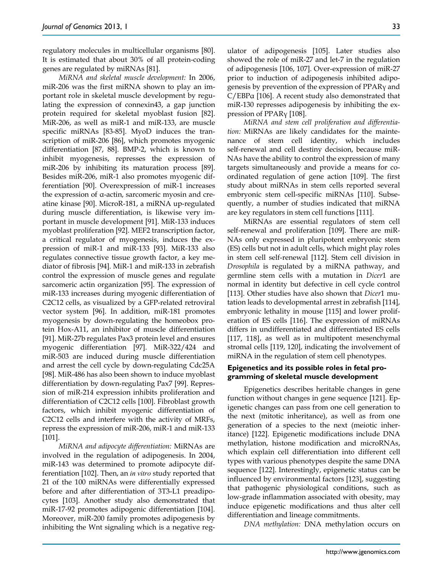regulatory molecules in multicellular organisms [80]. It is estimated that about 30% of all protein-coding genes are regulated by miRNAs [81].

*MiRNA and skeletal muscle development:* In 2006, miR-206 was the first miRNA shown to play an important role in skeletal muscle development by regulating the expression of connexin43, a gap junction protein required for skeletal myoblast fusion [82]. MiR-206, as well as miR-1 and miR-133, are muscle specific miRNAs [83-85]. MyoD induces the transcription of miR-206 [86], which promotes myogenic differentiation [87, 88]. BMP-2, which is known to inhibit myogenesis, represses the expression of miR-206 by inhibiting its maturation process [89]. Besides miR-206, miR-1 also promotes myogenic differentiation [90]. Overexpression of miR-1 increases the expression of α-actin, sarcomeric myosin and creatine kinase [90]. MicroR-181, a miRNA up-regulated during muscle differentiation, is likewise very important in muscle development [91]. MiR-133 induces myoblast proliferation [92]. MEF2 transcription factor, a critical regulator of myogenesis, induces the expression of miR-1 and miR-133 [93]. MiR-133 also regulates connective tissue growth factor, a key mediator of fibrosis [94]. MiR-1 and miR-133 in zebrafish control the expression of muscle genes and regulate sarcomeric actin organization [95]. The expression of miR-133 increases during myogenic differentiation of C2C12 cells, as visualized by a GFP-related retroviral vector system [96]. In addition, miR-181 promotes myogenesis by down-regulating the homeobox protein Hox-A11, an inhibitor of muscle differentiation [91]. MiR-27b regulates Pax3 protein level and ensures myogenic differentiation [97]. MiR-322/424 and miR-503 are induced during muscle differentiation and arrest the cell cycle by down-regulating Cdc25A [98]. MiR-486 has also been shown to induce myoblast differentiation by down-regulating Pax7 [99]. Repression of miR-214 expression inhibits proliferation and differentiation of C2C12 cells [100]. Fibroblast growth factors, which inhibit myogenic differentiation of C2C12 cells and interfere with the activity of MRFs, repress the expression of miR-206, miR-1 and miR-133 [101].

*MiRNA and adipocyte differentiation:* MiRNAs are involved in the regulation of adipogenesis. In 2004, miR-143 was determined to promote adipocyte differentiation [102]. Then, an *in vitro* study reported that 21 of the 100 miRNAs were differentially expressed before and after differentiation of 3T3-L1 preadipocytes [103]. Another study also demonstrated that miR-17-92 promotes adipogenic differentiation [104]. Moreover, miR-200 family promotes adipogenesis by inhibiting the Wnt signaling which is a negative regulator of adipogenesis [105]. Later studies also showed the role of miR-27 and let-7 in the regulation of adipogenesis [106, 107]. Over-expression of miR-27 prior to induction of adipogenesis inhibited adipogenesis by prevention of the expression of PPARγ and C/EBPα [106]. A recent study also demonstrated that miR-130 represses adipogenesis by inhibiting the expression of PPARγ [108].

*MiRNA and stem cell proliferation and differentiation:* MiRNAs are likely candidates for the maintenance of stem cell identity, which includes self-renewal and cell destiny decision, because miR-NAs have the ability to control the expression of many targets simultaneously and provide a means for coordinated regulation of gene action [109]. The first study about miRNAs in stem cells reported several embryonic stem cell-specific miRNAs [110]. Subsequently, a number of studies indicated that miRNA are key regulators in stem cell functions [111].

MiRNAs are essential regulators of stem cell self-renewal and proliferation [109]. There are miR-NAs only expressed in pluripotent embryonic stem (ES) cells but not in adult cells, which might play roles in stem cell self-renewal [112]. Stem cell division in *Drosophila* is regulated by a miRNA pathway, and germline stem cells with a mutation in *Dicer*1 are normal in identity but defective in cell cycle control [113]. Other studies have also shown that *Dicer*1 mutation leads to developmental arrest in zebrafish [114], embryonic lethality in mouse [115] and lower proliferation of ES cells [116]. The expression of miRNAs differs in undifferentiated and differentiated ES cells [117, 118], as well as in multipotent mesenchymal stromal cells [119, 120], indicating the involvement of miRNA in the regulation of stem cell phenotypes.

#### **Epigenetics and its possible roles in fetal programming of skeletal muscle development**

Epigenetics describes heritable changes in gene function without changes in gene sequence [121]. Epigenetic changes can pass from one cell generation to the next (mitotic inheritance), as well as from one generation of a species to the next (meiotic inheritance) [122]. Epigenetic modifications include DNA methylation, histone modification and microRNAs, which explain cell differentiation into different cell types with various phenotypes despite the same DNA sequence [122]. Interestingly, epigenetic status can be influenced by environmental factors [123], suggesting that pathogenic physiological conditions, such as low-grade inflammation associated with obesity, may induce epigenetic modifications and thus alter cell differentiation and lineage commitments.

*DNA methylation:* DNA methylation occurs on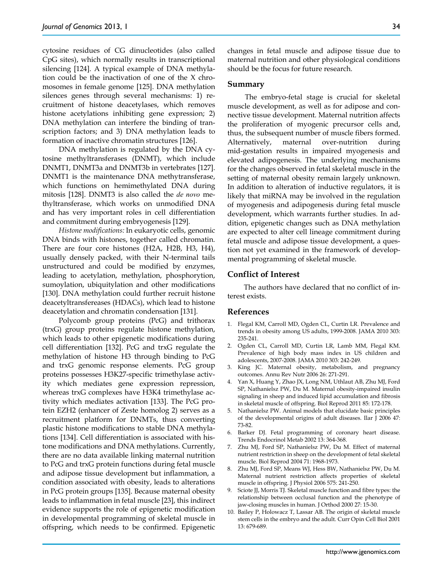cytosine residues of CG dinucleotides (also called CpG sites), which normally results in transcriptional silencing [124]. A typical example of DNA methylation could be the inactivation of one of the X chromosomes in female genome [125]. DNA methylation silences genes through several mechanisms: 1) recruitment of histone deacetylases, which removes histone acetylations inhibiting gene expression; 2) DNA methylation can interfere the binding of transcription factors; and 3) DNA methylation leads to formation of inactive chromatin structures [126].

DNA methylation is regulated by the DNA cytosine methyltransferases (DNMT), which include DNMT1, DNMT3a and DNMT3b in vertebrates [127]. DNMT1 is the maintenance DNA methytransferase, which functions on hemimethylated DNA during mitosis [128]. DNMT3 is also called the *de novo* methyltransferase, which works on unmodified DNA and has very important roles in cell differentiation and commitment during embryogenesis [129].

*Histone modifications:* In eukaryotic cells, genomic DNA binds with histones, together called chromatin. There are four core histones (H2A, H2B, H3, H4), usually densely packed, with their N-terminal tails unstructured and could be modified by enzymes, leading to acetylation, methylation, phosphorytion, sumoylation, ubiquitylation and other modifications [130]. DNA methylation could further recruit histone deacetyltransfereases (HDACs), which lead to histone deacetylation and chromatin condensation [131].

Polycomb group proteins (PcG) and trithorax (trxG) group proteins regulate histone methylation, which leads to other epigenetic modifications during cell differentiation [132]. PcG and trxG regulate the methylation of histone H3 through binding to PcG and trxG genomic response elements. PcG group proteins possesses H3K27-specific trimethylase activity which mediates gene expression repression, whereas trxG complexes have H3K4 trimethylase activity which mediates activation [133]. The PcG protein EZH2 (enhancer of Zeste homolog 2) serves as a recruitment platform for DNMTs, thus converting plastic histone modifications to stable DNA methylations [134]. Cell differentiation is associated with histone modifications and DNA methylations. Currently, there are no data available linking maternal nutrition to PcG and trxG protein functions during fetal muscle and adipose tissue development but inflammation, a condition associated with obesity, leads to alterations in PcG protein groups [135]. Because maternal obesity leads to inflammation in fetal muscle [23], this indirect evidence supports the role of epigenetic modification in developmental programming of skeletal muscle in offspring, which needs to be confirmed. Epigenetic

changes in fetal muscle and adipose tissue due to maternal nutrition and other physiological conditions should be the focus for future research.

### **Summary**

The embryo-fetal stage is crucial for skeletal muscle development, as well as for adipose and connective tissue development. Maternal nutrition affects the proliferation of myogenic precursor cells and, thus, the subsequent number of muscle fibers formed. Alternatively, maternal over-nutrition during mid-gestation results in impaired myogenesis and elevated adipogenesis. The underlying mechanisms for the changes observed in fetal skeletal muscle in the setting of maternal obesity remain largely unknown. In addition to alteration of inductive regulators, it is likely that miRNA may be involved in the regulation of myogenesis and adipogenesis during fetal muscle development, which warrants further studies. In addition, epigenetic changes such as DNA methylation are expected to alter cell lineage commitment during fetal muscle and adipose tissue development, a question not yet examined in the framework of developmental programming of skeletal muscle.

#### **Conflict of Interest**

The authors have declared that no conflict of interest exists.

#### **References**

- 1. Flegal KM, Carroll MD, Ogden CL, Curtin LR. Prevalence and trends in obesity among US adults, 1999-2008. JAMA 2010 303: 235-241.
- 2. Ogden CL, Carroll MD, Curtin LR, Lamb MM, Flegal KM. Prevalence of high body mass index in US children and adolescents, 2007-2008. JAMA 2010 303: 242-249.
- 3. King JC. Maternal obesity, metabolism, and pregnancy outcomes. Annu Rev Nutr 2006 26: 271-291.
- 4. Yan X, Huang Y, Zhao JX, Long NM, Uthlaut AB, Zhu MJ, Ford SP, Nathanielsz PW, Du M. Maternal obesity-impaired insulin signaling in sheep and induced lipid accumulation and fibrosis in skeletal muscle of offspring. Biol Reprod 2011 85: 172-178.
- 5. Nathanielsz PW. Animal models that elucidate basic principles of the developmental origins of adult diseases. Ilar J 2006 47: 73-82.
- 6. Barker DJ. Fetal programming of coronary heart disease. Trends Endocrinol Metab 2002 13: 364-368.
- 7. Zhu MJ, Ford SP, Nathanielsz PW, Du M. Effect of maternal nutrient restriction in sheep on the development of fetal skeletal muscle. Biol Reprod 2004 71: 1968-1973.
- 8. Zhu MJ, Ford SP, Means WJ, Hess BW, Nathanielsz PW, Du M. Maternal nutrient restriction affects properties of skeletal muscle in offspring. J Physiol 2006 575: 241-250.
- 9. Sciote JJ, Morris TJ. Skeletal muscle function and fibre types: the relationship between occlusal function and the phenotype of jaw-closing muscles in human. J Orthod 2000 27: 15-30.
- 10. Bailey P, Holowacz T, Lassar AB. The origin of skeletal muscle stem cells in the embryo and the adult. Curr Opin Cell Biol 2001 13: 679-689.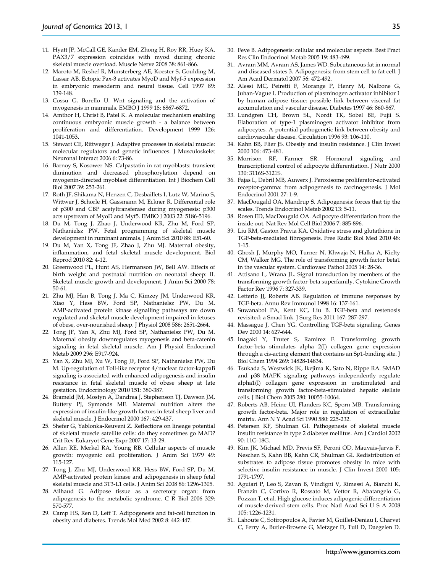- 11. Hyatt JP, McCall GE, Kander EM, Zhong H, Roy RR, Huey KA. PAX3/7 expression coincides with myod during chronic skeletal muscle overload. Muscle Nerve 2008 38: 861-866.
- 12. Maroto M, Reshef R, Munsterberg AE, Koester S, Goulding M, Lassar AB. Ectopic Pax-3 activates MyoD and Myf-5 expression in embryonic mesoderm and neural tissue. Cell 1997 89: 139-148.
- 13. Cossu G, Borello U. Wnt signaling and the activation of myogenesis in mammals. EMBO J 1999 18: 6867-6872.
- 14. Amthor H, Christ B, Patel K. A molecular mechanism enabling continuous embryonic muscle growth - a balance between proliferation and differentiation. Development 1999 126: 1041-1053.
- 15. Stewart CE, Rittweger J. Adaptive processes in skeletal muscle: molecular regulators and genetic influences. J Musculoskelet Neuronal Interact 2006 6: 73-86.
- 16. Barnoy S, Kosower NS. Calpastatin in rat myoblasts: transient diminution and decreased phosphorylation depend on myogenin-directed myoblast differentiation. Int J Biochem Cell Biol 2007 39: 253-261.
- 17. Roth JF, Shikama N, Henzen C, Desbaillets I, Lutz W, Marino S, Wittwer J, Schorle H, Gassmann M, Eckner R. Differential role of p300 and CBP acetyltransferase during myogenesis: p300 acts upstream of MyoD and Myf5. EMBO J 2003 22: 5186-5196.
- 18. Du M, Tong J, Zhao J, Underwood KR, Zhu M, Ford SP, Nathanielsz PW. Fetal programming of skeletal muscle development in ruminant animals. J Anim Sci 2010 88: E51-60.
- 19. Du M, Yan X, Tong JF, Zhao J, Zhu MJ. Maternal obesity, inflammation, and fetal skeletal muscle development. Biol Reprod 2010 82: 4-12.
- 20. Greenwood PL, Hunt AS, Hermanson JW, Bell AW. Effects of birth weight and postnatal nutrition on neonatal sheep: II. Skeletal muscle growth and development. J Anim Sci 2000 78: 50-61.
- 21. Zhu MJ, Han B, Tong J, Ma C, Kimzey JM, Underwood KR, Xiao Y, Hess BW, Ford SP, Nathanielsz PW, Du M. AMP-activated protein kinase signalling pathways are down regulated and skeletal muscle development impaired in fetuses of obese, over-nourished sheep. J Physiol 2008 586: 2651-2664.
- 22. Tong JF, Yan X, Zhu MJ, Ford SP, Nathanielsz PW, Du M. Maternal obesity downregulates myogenesis and beta-catenin signaling in fetal skeletal muscle. Am J Physiol Endocrinol Metab 2009 296: E917-924.
- 23. Yan X, Zhu MJ, Xu W, Tong JF, Ford SP, Nathanielsz PW, Du M. Up-regulation of Toll-like receptor 4/nuclear factor-kappaB signaling is associated with enhanced adipogenesis and insulin resistance in fetal skeletal muscle of obese sheep at late gestation. Endocrinology 2010 151: 380-387.
- 24. Brameld JM, Mostyn A, Dandrea J, Stephenson TJ, Dawson JM, Buttery PJ, Symonds ME. Maternal nutrition alters the expression of insulin-like growth factors in fetal sheep liver and skeletal muscle. J Endocrinol 2000 167: 429-437.
- 25. Shefer G, Yablonka-Reuveni Z. Reflections on lineage potential of skeletal muscle satellite cells: do they sometimes go MAD? Crit Rev Eukaryot Gene Expr 2007 17: 13-29.
- 26. Allen RE, Merkel RA, Young RB. Cellular aspects of muscle growth: myogenic cell proliferation. J Anim Sci 1979 49: 115-127.
- 27. Tong J, Zhu MJ, Underwood KR, Hess BW, Ford SP, Du M. AMP-activated protein kinase and adipogenesis in sheep fetal skeletal muscle and 3T3-L1 cells. J Anim Sci 2008 86: 1296-1305.
- 28. Ailhaud G. Adipose tissue as a secretory organ: from adipogenesis to the metabolic syndrome. C R Biol 2006 329: 570-577.
- 29. Camp HS, Ren D, Leff T. Adipogenesis and fat-cell function in obesity and diabetes. Trends Mol Med 2002 8: 442-447.
- 30. Feve B. Adipogenesis: cellular and molecular aspects. Best Pract Res Clin Endocrinol Metab 2005 19: 483-499.
- 31. Avram MM, Avram AS, James WD. Subcutaneous fat in normal and diseased states 3. Adipogenesis: from stem cell to fat cell. J Am Acad Dermatol 2007 56: 472-492.
- 32. Alessi MC, Peiretti F, Morange P, Henry M, Nalbone G, Juhan-Vague I. Production of plasminogen activator inhibitor 1 by human adipose tissue: possible link between visceral fat accumulation and vascular disease. Diabetes 1997 46: 860-867.
- 33. Lundgren CH, Brown SL, Nordt TK, Sobel BE, Fujii S. Elaboration of type-1 plasminogen activator inhibitor from adipocytes. A potential pathogenetic link between obesity and cardiovascular disease. Circulation 1996 93: 106-110.
- 34. Kahn BB, Flier JS. Obesity and insulin resistance. J Clin Invest 2000 106: 473-481.
- 35. Morrison RF, Farmer SR. Hormonal signaling and transcriptional control of adipocyte differentiation. J Nutr 2000 130: 3116S-3121S.
- 36. Fajas L, Debril MB, Auwerx J. Peroxisome proliferator-activated receptor-gamma: from adipogenesis to carcinogenesis. J Mol Endocrinol 2001 27: 1-9.
- 37. MacDougald OA, Mandrup S. Adipogenesis: forces that tip the scales. Trends Endocrinol Metab 2002 13: 5-11.
- 38. Rosen ED, MacDougald OA. Adipocyte differentiation from the inside out. Nat Rev Mol Cell Biol 2006 7: 885-896.
- 39. Liu RM, Gaston Pravia KA. Oxidative stress and glutathione in TGF-beta-mediated fibrogenesis. Free Radic Biol Med 2010 48: 1-15.
- 40. Ghosh J, Murphy MO, Turner N, Khwaja N, Halka A, Kielty CM, Walker MG. The role of transforming growth factor beta1 in the vascular system. Cardiovasc Pathol 2005 14: 28-36.
- 41. Attisano L, Wrana JL. Signal transduction by members of the transforming growth factor-beta superfamily. Cytokine Growth Factor Rev 1996 7: 327-339.
- 42. Letterio JJ, Roberts AB. Regulation of immune responses by TGF-beta. Annu Rev Immunol 1998 16: 137-161.
- 43. Suwanabol PA, Kent KC, Liu B. TGF-beta and restenosis revisited: a Smad link. J Surg Res 2011 167: 287-297.
- 44. Massague J, Chen YG. Controlling TGF-beta signaling. Genes Dev 2000 14: 627-644.
- 45. Inagaki Y, Truter S, Ramirez F. Transforming growth factor-beta stimulates alpha 2(I) collagen gene expression through a cis-acting element that contains an Sp1-binding site. J Biol Chem 1994 269: 14828-14834.
- 46. Tsukada S, Westwick JK, Ikejima K, Sato N, Rippe RA. SMAD and p38 MAPK signaling pathways independently regulate alpha1(I) collagen gene expression in unstimulated and transforming growth factor-beta-stimulated hepatic stellate cells. J Biol Chem 2005 280: 10055-10064.
- 47. Roberts AB, Heine UI, Flanders KC, Sporn MB. Transforming growth factor-beta. Major role in regulation of extracellular matrix. Ann N Y Acad Sci 1990 580: 225-232.
- 48. Petersen KF, Shulman GI. Pathogenesis of skeletal muscle insulin resistance in type 2 diabetes mellitus. Am J Cardiol 2002 90: 11G-18G.
- 49. Kim JK, Michael MD, Previs SF, Peroni OD, Mauvais-Jarvis F, Neschen S, Kahn BB, Kahn CR, Shulman GI. Redistribution of substrates to adipose tissue promotes obesity in mice with selective insulin resistance in muscle. J Clin Invest 2000 105: 1791-1797.
- 50. Aguiari P, Leo S, Zavan B, Vindigni V, Rimessi A, Bianchi K, Franzin C, Cortivo R, Rossato M, Vettor R, Abatangelo G, Pozzan T, et al. High glucose induces adipogenic differentiation of muscle-derived stem cells. Proc Natl Acad Sci U S A 2008 105: 1226-1231.
- 51. Lahoute C, Sotiropoulos A, Favier M, Guillet-Deniau I, Charvet C, Ferry A, Butler-Browne G, Metzger D, Tuil D, Daegelen D.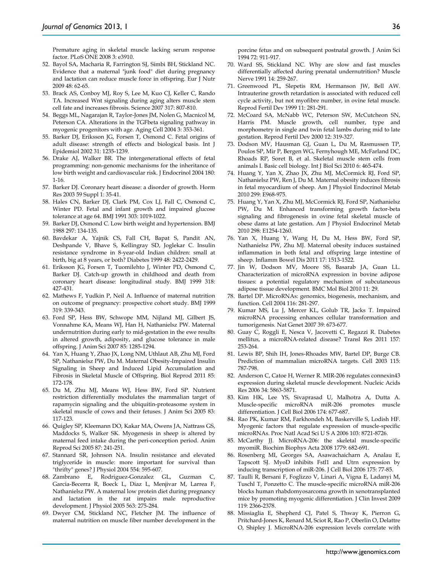Premature aging in skeletal muscle lacking serum response factor. PLoS ONE 2008 3: e3910.

- 52. Bayol SA, Macharia R, Farrington SJ, Simbi BH, Stickland NC. Evidence that a maternal "junk food" diet during pregnancy and lactation can reduce muscle force in offspring. Eur J Nutr 2009 48: 62-65.
- 53. Brack AS, Conboy MJ, Roy S, Lee M, Kuo CJ, Keller C, Rando TA. Increased Wnt signaling during aging alters muscle stem cell fate and increases fibrosis. Science 2007 317: 807-810.
- 54. Beggs ML, Nagarajan R, Taylor-Jones JM, Nolen G, Macnicol M, Peterson CA. Alterations in the TGFbeta signaling pathway in myogenic progenitors with age. Aging Cell 2004 3: 353-361.
- 55. Barker DJ, Eriksson JG, Forsen T, Osmond C. Fetal origins of adult disease: strength of effects and biological basis. Int J Epidemiol 2002 31: 1235-1239.
- 56. Drake AJ, Walker BR. The intergenerational effects of fetal programming: non-genomic mechanisms for the inheritance of low birth weight and cardiovascular risk. J Endocrinol 2004 180: 1-16.
- 57. Barker DJ. Coronary heart disease: a disorder of growth. Horm Res 2003 59 Suppl 1: 35-41.
- 58. Hales CN, Barker DJ, Clark PM, Cox LJ, Fall C, Osmond C, Winter PD. Fetal and infant growth and impaired glucose tolerance at age 64. BMJ 1991 303: 1019-1022.
- 59. Barker DJ, Osmond C. Low birth weight and hypertension. BMJ 1988 297: 134-135.
- 60. Bavdekar A, Yajnik CS, Fall CH, Bapat S, Pandit AN, Deshpande V, Bhave S, Kellingray SD, Joglekar C. Insulin resistance syndrome in 8-year-old Indian children: small at birth, big at 8 years, or both? Diabetes 1999 48: 2422-2429.
- 61. Eriksson JG, Forsen T, Tuomilehto J, Winter PD, Osmond C, Barker DJ. Catch-up growth in childhood and death from coronary heart disease: longitudinal study. BMJ 1999 318: 427-431.
- 62. Mathews F, Yudkin P, Neil A. Influence of maternal nutrition on outcome of pregnancy: prospective cohort study. BMJ 1999 319: 339-343.
- 63. Ford SP, Hess BW, Schwope MM, Nijland MJ, Gilbert JS, Vonnahme KA, Means WJ, Han H, Nathanielsz PW. Maternal undernutrition during early to mid-gestation in the ewe results in altered growth, adiposity, and glucose tolerance in male offspring. J Anim Sci 2007 85: 1285-1294.
- 64. Yan X, Huang Y, Zhao JX, Long NM, Uthlaut AB, Zhu MJ, Ford SP, Nathanielsz PW, Du M. Maternal Obesity-Impaired Insulin Signaling in Sheep and Induced Lipid Accumulation and Fibrosis in Skeletal Muscle of Offspring. Biol Reprod 2011 85: 172-178.
- 65. Du M, Zhu MJ, Means WJ, Hess BW, Ford SP. Nutrient restriction differentially modulates the mammalian target of rapamycin signaling and the ubiquitin-proteasome system in skeletal muscle of cows and their fetuses. J Anim Sci 2005 83: 117-123.
- 66. Quigley SP, Kleemann DO, Kakar MA, Owens JA, Nattrass GS, Maddocks S, Walker SK. Myogenesis in sheep is altered by maternal feed intake during the peri-conception period. Anim Reprod Sci 2005 87: 241-251.
- 67. Stannard SR, Johnson NA. Insulin resistance and elevated triglyceride in muscle: more important for survival than "thrifty" genes? J Physiol 2004 554: 595-607.
- 68. Zambrano E, Rodriguez-Gonzalez GL, Guzman C, Garcia-Becerra R, Boeck L, Diaz L, Menjivar M, Larrea F, Nathanielsz PW. A maternal low protein diet during pregnancy and lactation in the rat impairs male reproductive development. J Physiol 2005 563: 275-284.
- 69. Dwyer CM, Stickland NC, Fletcher JM. The influence of maternal nutrition on muscle fiber number development in the

porcine fetus and on subsequent postnatal growth. J Anim Sci 1994 72: 911-917.

- 70. Ward SS, Stickland NC. Why are slow and fast muscles differentially affected during prenatal undernutrition? Muscle Nerve 1991 14: 259-267.
- 71. Greenwood PL, Slepetis RM, Hermanson JW, Bell AW. Intrauterine growth retardation is associated with reduced cell cycle activity, but not myofibre number, in ovine fetal muscle. Reprod Fertil Dev 1999 11: 281-291.
- 72. McCoard SA, McNabb WC, Peterson SW, McCutcheon SN, Harris PM. Muscle growth, cell number, type and morphometry in single and twin fetal lambs during mid to late gestation. Reprod Fertil Dev 2000 12: 319-327.
- 73. Dodson MV, Hausman GJ, Guan L, Du M, Rasmussen TP, Poulos SP, Mir P, Bergen WG, Fernyhough ME, McFarland DC, Rhoads RP, Soret B, et al. Skeletal muscle stem cells from animals I. Basic cell biology. Int J Biol Sci 2010 6: 465-474.
- 74. Huang Y, Yan X, Zhao JX, Zhu MJ, McCormick RJ, Ford SP, Nathanielsz PW, Ren J, Du M. Maternal obesity induces fibrosis in fetal myocardium of sheep. Am J Physiol Endocrinol Metab 2010 299: E968-975.
- 75. Huang Y, Yan X, Zhu MJ, McCormick RJ, Ford SP, Nathanielsz PW, Du M. Enhanced transforming growth factor-beta signaling and fibrogenesis in ovine fetal skeletal muscle of obese dams at late gestation. Am J Physiol Endocrinol Metab 2010 298: E1254-1260.
- 76. Yan X, Huang Y, Wang H, Du M, Hess BW, Ford SP, Nathanielsz PW, Zhu MJ. Maternal obesity induces sustained inflammation in both fetal and offspring large intestine of sheep. Inflamm Bowel Dis 2011 17: 1513-1522.
- 77. Jin W, Dodson MV, Moore SS, Basarab JA, Guan LL. Characterization of microRNA expression in bovine adipose tissues: a potential regulatory mechanism of subcutaneous adipose tissue development. BMC Mol Biol 2010 11: 29.
- 78. Bartel DP. MicroRNAs: genomics, biogenesis, mechanism, and function. Cell 2004 116: 281-297.
- 79. Kumar MS, Lu J, Mercer KL, Golub TR, Jacks T. Impaired microRNA processing enhances cellular transformation and tumorigenesis. Nat Genet 2007 39: 673-677.
- 80. Guay C, Roggli E, Nesca V, Jacovetti C, Regazzi R. Diabetes mellitus, a microRNA-related disease? Transl Res 2011 157: 253-264.
- 81. Lewis BP, Shih IH, Jones-Rhoades MW, Bartel DP, Burge CB. Prediction of mammalian microRNA targets. Cell 2003 115: 787-798.
- 82. Anderson C, Catoe H, Werner R. MIR-206 regulates connexin43 expression during skeletal muscle development. Nucleic Acids Res 2006 34: 5863-5871.
- 83. Kim HK, Lee YS, Sivaprasad U, Malhotra A, Dutta A. Muscle-specific microRNA miR-206 promotes muscle differentiation. J Cell Biol 2006 174: 677-687.
- 84. Rao PK, Kumar RM, Farkhondeh M, Baskerville S, Lodish HF. Myogenic factors that regulate expression of muscle-specific microRNAs. Proc Natl Acad Sci U S A 2006 103: 8721-8726.
- 85. McCarthy JJ. MicroRNA-206: the skeletal muscle-specific myomiR. Biochim Biophys Acta 2008 1779: 682-691.
- 86. Rosenberg MI, Georges SA, Asawachaicharn A, Analau E, Tapscott SJ. MyoD inhibits Fstl1 and Utrn expression by inducing transcription of miR-206. J Cell Biol 2006 175: 77-85.
- 87. Taulli R, Bersani F, Foglizzo V, Linari A, Vigna E, Ladanyi M, Tuschl T, Ponzetto C. The muscle-specific microRNA miR-206 blocks human rhabdomyosarcoma growth in xenotransplanted mice by promoting myogenic differentiation. J Clin Invest 2009 119: 2366-2378.
- 88. Missiaglia E, Shepherd CJ, Patel S, Thway K, Pierron G, Pritchard-Jones K, Renard M, Sciot R, Rao P, Oberlin O, Delattre O, Shipley J. MicroRNA-206 expression levels correlate with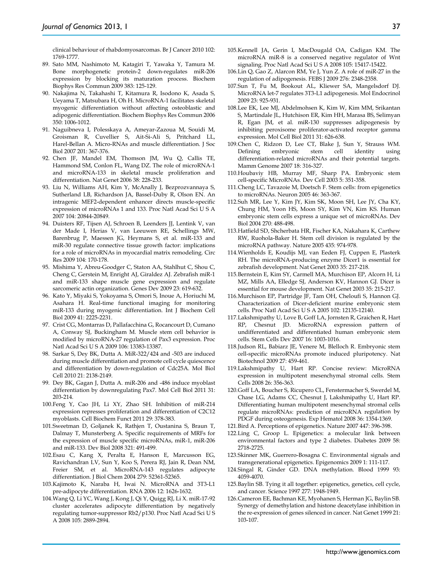- 89. Sato MM, Nashimoto M, Katagiri T, Yawaka Y, Tamura M. Bone morphogenetic protein-2 down-regulates miR-206 expression by blocking its maturation process. Biochem Biophys Res Commun 2009 383: 125-129.
- 90. Nakajima N, Takahashi T, Kitamura R, Isodono K, Asada S, Ueyama T, Matsubara H, Oh H. MicroRNA-1 facilitates skeletal myogenic differentiation without affecting osteoblastic and adipogenic differentiation. Biochem Biophys Res Commun 2006 350: 1006-1012.
- 91. Naguibneva I, Polesskaya A, Ameyar-Zazoua M, Souidi M, Groisman R, Cuvellier S, Ait-Si-Ali S, Pritchard LL, Harel-Bellan A. Micro-RNAs and muscle differentiation. J Soc Biol 2007 201: 367-376.
- 92. Chen JF, Mandel EM, Thomson JM, Wu Q, Callis TE, Hammond SM, Conlon FL, Wang DZ. The role of microRNA-1 and microRNA-133 in skeletal muscle proliferation and differentiation. Nat Genet 2006 38: 228-233.
- 93. Liu N, Williams AH, Kim Y, McAnally J, Bezprozvannaya S, Sutherland LB, Richardson JA, Bassel-Duby R, Olson EN. An intragenic MEF2-dependent enhancer directs muscle-specific expression of microRNAs 1 and 133. Proc Natl Acad Sci U S A 2007 104: 20844-20849.
- 94. Duisters RF, Tijsen AJ, Schroen B, Leenders JJ, Lentink V, van der Made I, Herias V, van Leeuwen RE, Schellings MW, Barenbrug P, Maessen JG, Heymans S, et al. miR-133 and miR-30 regulate connective tissue growth factor: implications for a role of microRNAs in myocardial matrix remodeling. Circ Res 2009 104: 170-178.
- 95. Mishima Y, Abreu-Goodger C, Staton AA, Stahlhut C, Shou C, Cheng C, Gerstein M, Enright AJ, Giraldez AJ. Zebrafish miR-1 and miR-133 shape muscle gene expression and regulate sarcomeric actin organization. Genes Dev 2009 23: 619-632.
- 96. Kato Y, Miyaki S, Yokoyama S, Omori S, Inoue A, Horiuchi M, Asahara H. Real-time functional imaging for monitoring miR-133 during myogenic differentiation. Int J Biochem Cell Biol 2009 41: 2225-2231.
- 97. Crist CG, Montarras D, Pallafacchina G, Rocancourt D, Cumano A, Conway SJ, Buckingham M. Muscle stem cell behavior is modified by microRNA-27 regulation of Pax3 expression. Proc Natl Acad Sci U S A 2009 106: 13383-13387.
- 98. Sarkar S, Dey BK, Dutta A. MiR-322/424 and -503 are induced during muscle differentiation and promote cell cycle quiescence and differentiation by down-regulation of Cdc25A. Mol Biol Cell 2010 21: 2138-2149.
- 99. Dey BK, Gagan J, Dutta A. miR-206 and -486 induce myoblast differentiation by downregulating Pax7. Mol Cell Biol 2011 31: 203-214.
- 100.Feng Y, Cao JH, Li XY, Zhao SH. Inhibition of miR-214 expression represses proliferation and differentiation of C2C12 myoblasts. Cell Biochem Funct 2011 29: 378-383.
- 101.Sweetman D, Goljanek K, Rathjen T, Oustanina S, Braun T, Dalmay T, Munsterberg A. Specific requirements of MRFs for the expression of muscle specific microRNAs, miR-1, miR-206 and miR-133. Dev Biol 2008 321: 491-499.
- 102.Esau C, Kang X, Peralta E, Hanson E, Marcusson EG, Ravichandran LV, Sun Y, Koo S, Perera RJ, Jain R, Dean NM, Freier SM, et al. MicroRNA-143 regulates adipocyte differentiation. J Biol Chem 2004 279: 52361-52365.
- 103.Kajimoto K, Naraba H, Iwai N. MicroRNA and 3T3-L1 pre-adipocyte differentiation. RNA 2006 12: 1626-1632.
- 104.Wang Q, Li YC, Wang J, Kong J, Qi Y, Quigg RJ, Li X. miR-17-92 cluster accelerates adipocyte differentiation by negatively regulating tumor-suppressor Rb2/p130. Proc Natl Acad Sci U S A 2008 105: 2889-2894.
- 105.Kennell JA, Gerin I, MacDougald OA, Cadigan KM. The microRNA miR-8 is a conserved negative regulator of Wnt signaling. Proc Natl Acad Sci U S A 2008 105: 15417-15422.
- 106.Lin Q, Gao Z, Alarcon RM, Ye J, Yun Z. A role of miR-27 in the regulation of adipogenesis. FEBS J 2009 276: 2348-2358.
- 107.Sun T, Fu M, Bookout AL, Kliewer SA, Mangelsdorf DJ. MicroRNA let-7 regulates 3T3-L1 adipogenesis. Mol Endocrinol 2009 23: 925-931.
- 108.Lee EK, Lee MJ, Abdelmohsen K, Kim W, Kim MM, Srikantan S, Martindale JL, Hutchison ER, Kim HH, Marasa BS, Selimyan R, Egan JM, et al. miR-130 suppresses adipogenesis by inhibiting peroxisome proliferator-activated receptor gamma expression. Mol Cell Biol 2011 31: 626-638.
- 109.Chen C, Ridzon D, Lee CT, Blake J, Sun Y, Strauss WM. Defining embryonic stem cell identity using differentiation-related microRNAs and their potential targets. Mamm Genome 2007 18: 316-327.
- 110.Houbaviy HB, Murray MF, Sharp PA. Embryonic stem cell-specific MicroRNAs. Dev Cell 2003 5: 351-358.
- 111.Cheng LC, Tavazoie M, Doetsch F. Stem cells: from epigenetics to microRNAs. Neuron 2005 46: 363-367.
- 112.Suh MR, Lee Y, Kim JY, Kim SK, Moon SH, Lee JY, Cha KY, Chung HM, Yoon HS, Moon SY, Kim VN, Kim KS. Human embryonic stem cells express a unique set of microRNAs. Dev Biol 2004 270: 488-498.
- 113.Hatfield SD, Shcherbata HR, Fischer KA, Nakahara K, Carthew RW, Ruohola-Baker H. Stem cell division is regulated by the microRNA pathway. Nature 2005 435: 974-978.
- 114.Wienholds E, Koudijs MJ, van Eeden FJ, Cuppen E, Plasterk RH. The microRNA-producing enzyme Dicer1 is essential for zebrafish development. Nat Genet 2003 35: 217-218.
- 115.Bernstein E, Kim SY, Carmell MA, Murchison EP, Alcorn H, Li MZ, Mills AA, Elledge SJ, Anderson KV, Hannon GJ. Dicer is essential for mouse development. Nat Genet 2003 35: 215-217.
- 116.Murchison EP, Partridge JF, Tam OH, Cheloufi S, Hannon GJ. Characterization of Dicer-deficient murine embryonic stem cells. Proc Natl Acad Sci U S A 2005 102: 12135-12140.
- 117.Lakshmipathy U, Love B, Goff LA, Jornsten R, Graichen R, Hart RP, Chesnut JD. MicroRNA expression pattern of undifferentiated and differentiated human embryonic stem cells. Stem Cells Dev 2007 16: 1003-1016.
- 118.Judson RL, Babiarz JE, Venere M, Blelloch R. Embryonic stem cell-specific microRNAs promote induced pluripotency. Nat Biotechnol 2009 27: 459-461.
- 119.Lakshmipathy U, Hart RP. Concise review: MicroRNA expression in multipotent mesenchymal stromal cells. Stem Cells 2008 26: 356-363.
- 120.Goff LA, Boucher S, Ricupero CL, Fenstermacher S, Swerdel M, Chase LG, Adams CC, Chesnut J, Lakshmipathy U, Hart RP. Differentiating human multipotent mesenchymal stromal cells regulate microRNAs: prediction of microRNA regulation by PDGF during osteogenesis. Exp Hematol 2008 36: 1354-1369.
- 121.Bird A. Perceptions of epigenetics. Nature 2007 447: 396-398.
- 122.Ling C, Groop L. Epigenetics: a molecular link between environmental factors and type 2 diabetes. Diabetes 2009 58: 2718-2725.
- 123.Skinner MK, Guerrero-Bosagna C. Environmental signals and transgenerational epigenetics. Epigenomics 2009 1: 111-117.
- 124.Singal R, Ginder GD. DNA methylation. Blood 1999 93: 4059-4070.
- 125.Baylin SB. Tying it all together: epigenetics, genetics, cell cycle, and cancer. Science 1997 277: 1948-1949.
- 126.Cameron EE, Bachman KE, Myohanen S, Herman JG, Baylin SB. Synergy of demethylation and histone deacetylase inhibition in the re-expression of genes silenced in cancer. Nat Genet 1999 21: 103-107.